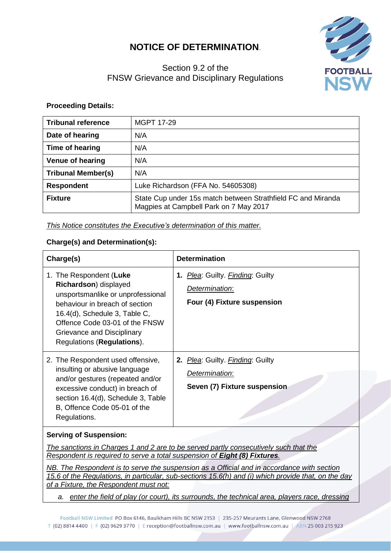# **NOTICE OF DETERMINATION**.

# Section 9.2 of the FNSW Grievance and Disciplinary Regulations



### **Proceeding Details:**

| <b>Tribunal reference</b> | MGPT 17-29                                                                                             |  |
|---------------------------|--------------------------------------------------------------------------------------------------------|--|
| Date of hearing           | N/A                                                                                                    |  |
| Time of hearing           | N/A                                                                                                    |  |
| <b>Venue of hearing</b>   | N/A                                                                                                    |  |
| <b>Tribunal Member(s)</b> | N/A                                                                                                    |  |
| <b>Respondent</b>         | Luke Richardson (FFA No. 54605308)                                                                     |  |
| <b>Fixture</b>            | State Cup under 15s match between Strathfield FC and Miranda<br>Magpies at Campbell Park on 7 May 2017 |  |

#### *This Notice constitutes the Executive's determination of this matter.*

#### **Charge(s) and Determination(s):**

| Charge(s)                                                                                                                                                                                                                                              | <b>Determination</b>                                                               |
|--------------------------------------------------------------------------------------------------------------------------------------------------------------------------------------------------------------------------------------------------------|------------------------------------------------------------------------------------|
| 1. The Respondent (Luke<br>Richardson) displayed<br>unsportsmanlike or unprofessional<br>behaviour in breach of section<br>16.4(d), Schedule 3, Table C,<br>Offence Code 03-01 of the FNSW<br>Grievance and Disciplinary<br>Regulations (Regulations). | 1. Plea: Guilty. Finding: Guilty<br>Determination:<br>Four (4) Fixture suspension  |
| 2. The Respondent used offensive,<br>insulting or abusive language<br>and/or gestures (repeated and/or<br>excessive conduct) in breach of<br>section 16.4(d), Schedule 3, Table<br>B, Offence Code 05-01 of the<br>Regulations.                        | 2. Plea: Guilty. Finding: Guilty<br>Determination:<br>Seven (7) Fixture suspension |

## **Serving of Suspension:**

*The sanctions in Charges 1 and 2 are to be served partly consecutively such that the Respondent is required to serve a total suspension of Eight (8) Fixtures.*

*NB. The Respondent is to serve the suspension as a Official and in accordance with section 15.6 of the Regulations, in particular, sub-sections 15.6(h) and (i) which provide that, on the day of a Fixture, the Respondent must not:*

*a. enter the field of play (or court), its surrounds, the technical area, players race, dressing*